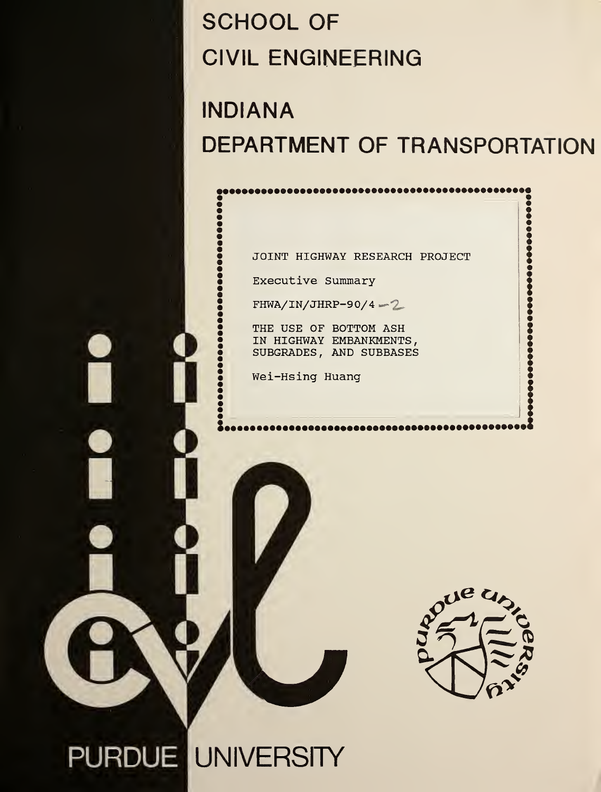# **SCHOOL OF CIVIL ENGINEERING**

# **INDIANA** DEPARTMENT OF TRANSPORTATION

JOINT HIGHWAY RESEARCH PROJECT

Executive Summary

FHWA/IN/JHRP-90/4 $-2$ 

THE USE OF BOTTOM ASH IN HIGHWAY EMBANKMENTS, SUBGRADES, AND SUBBASES

Wei-Hsing Huang



,,,,,,,,,,,,,,,,,,,,,,,,,

# **PURDUE UNIVERSITY**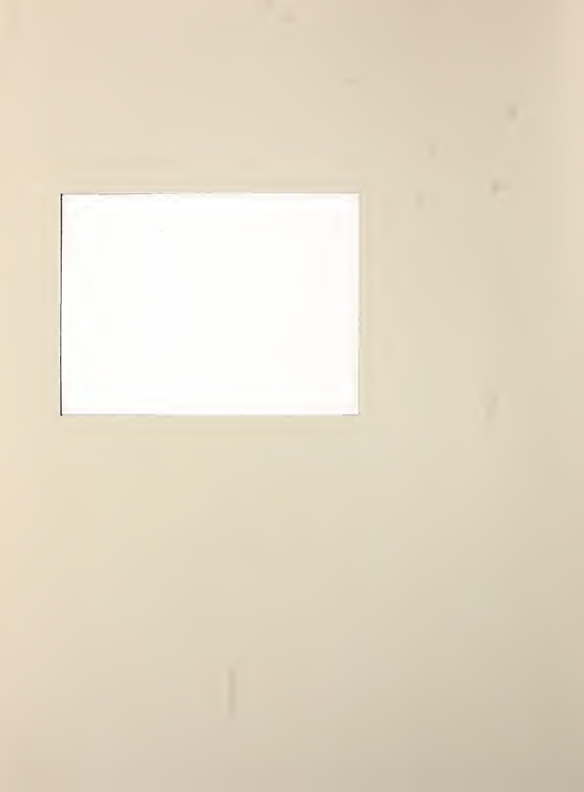

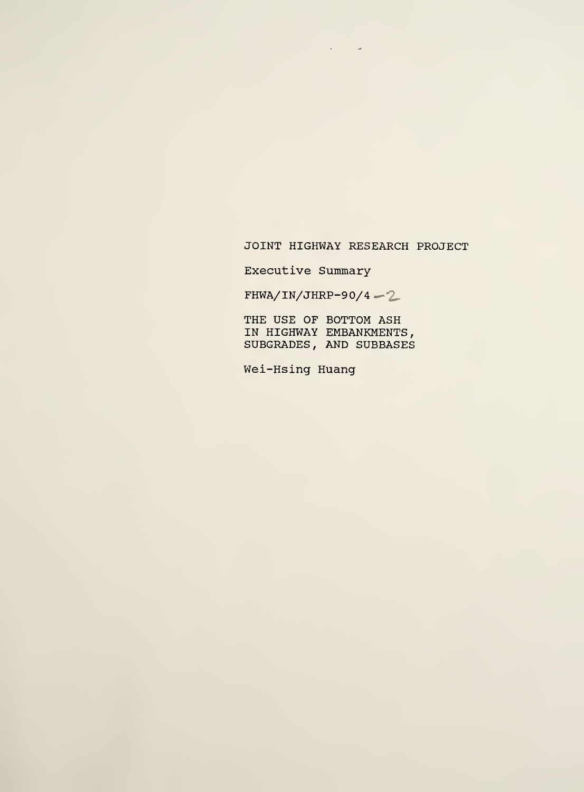JOINT HIGHWAY RESEARCH PROJECT

 $\omega_{\rm{max}}=0.5$ 

Executive Summary

FHWA/IN/JHRP-90/4 $-2$ 

THE USE OF BOTTOM ASH IN HIGHWAY EMBANKMENTS, SUBGRADES, AND SUBBASES

Wei-Hsing Huang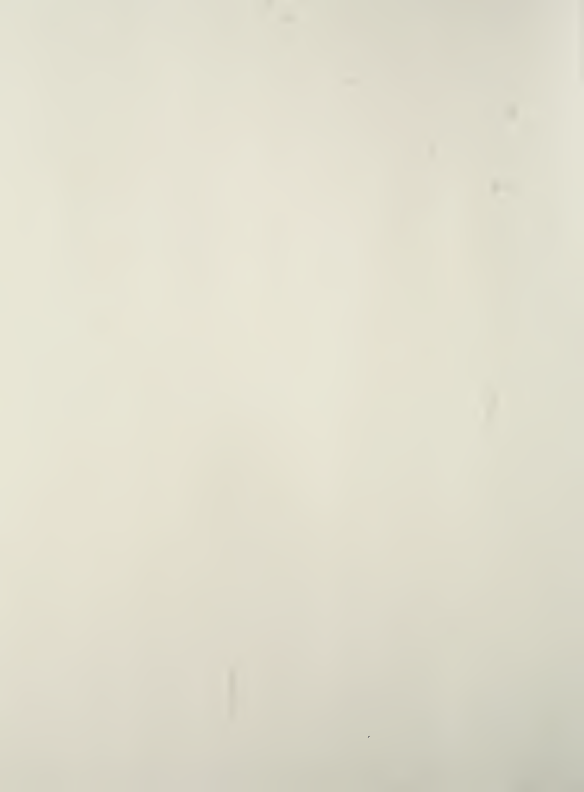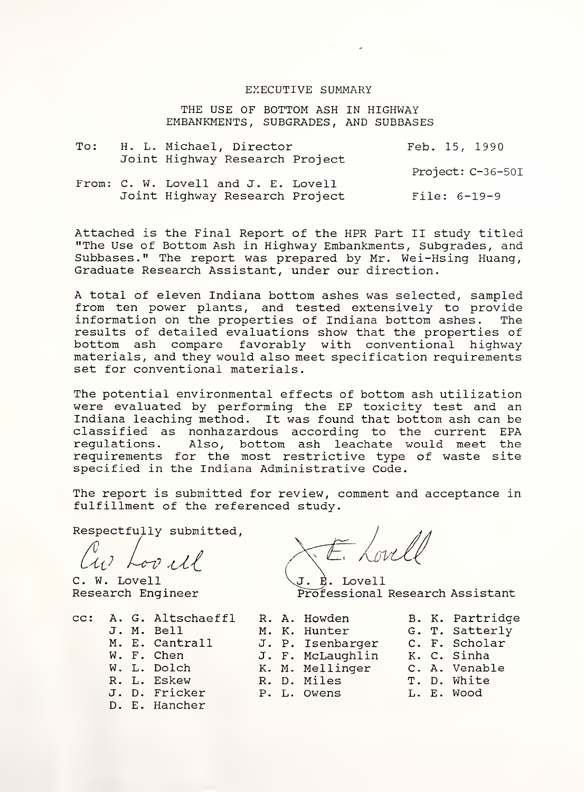#### EXECUTIVE SUMMARY

# THE USE OF BOTTOM ASH IN HIGHWAY EMBANKMENTS, SUBGRADES , AND SUBBASES

| To: | H. L. Michael, Director             | Feb. 15, 1990 |                   |
|-----|-------------------------------------|---------------|-------------------|
|     | Joint Highway Research Project      |               |                   |
|     |                                     |               | Project: C-36-50I |
|     | From: C. W. Lovell and J. E. Lovell |               |                   |
|     | Joint Highway Research Project      | File: 6-19-9  |                   |

Attached is the Final Report of the HPR Part II study titled "The Use of Bottom Ash in Highway Embankments, Subgrades, and Subbases." The report was prepared by Mr. Wei-Hsing Huang, Graduate Research Assistant, under our direction.

A total of eleven Indiana bottom ashes was selected, sampled from ten power plants, and tested extensively to provide information on the properties of Indiana bottom ashes. The results of detailed evaluations show that the properties of bottom ash compare favorably with conventional highway materials, and they would also meet specification reguirements set for conventional materials.

The potential environmental effects of bottom ash utilization<br>were evaluated by performing the EP toxicity test and an<br>Indiana leaching method. It was found that bottom ash can be classified as nonhazardous according to the current EPA regulations. Also, bottom ash leachate would meet the requirements for the most restrictive type of waste site specified in the Indiana Administrative Code.

The report is submitted for review, comment and acceptance in fulfillment of the referenced study.

Respectfully submitted,

LA.0 bn? <U£

C. W. Lovell Research Engineer

A. G. Altschaeffl R. A. Howden  $cc:$ J. M. Bell M. K. Hunter M. E. Cantrall J. P. Isenbarger<br>W. F. Chen J. F. McLaughlin W. F. Chen J. F. McLaughlin W. L. Dolch K. M. Mellinger R. L. Eskew R. D. Miles D. E. Hancher

E. Lovell

 $\mathbf{B}$ . Lovell Professional Research Assistant

- 
- 
- 
- 
- 
- P. L. Owens
- B. K. Partridge
- G. T. Satterly
- C. F. Scholar
	- K. C. Sinha
	- C. A. Venable
- T. D. White
	- L. E. Wood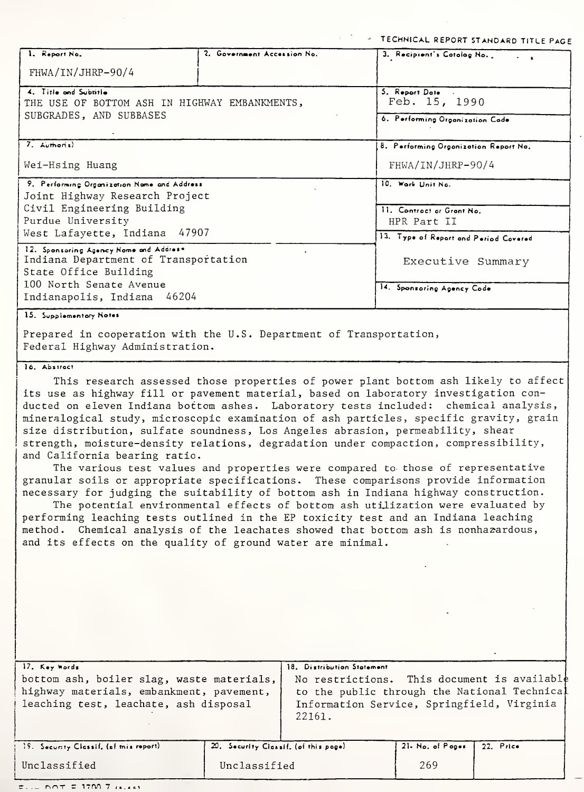**TECHNICAL REPORT STANDARD TITLE PA** 

| 1. Report No.                                                                                           | 2. Government Accession No.              | 3. Recipient's Catalog No.                                                                                                                                                                                                                                                                                                                                   |  |
|---------------------------------------------------------------------------------------------------------|------------------------------------------|--------------------------------------------------------------------------------------------------------------------------------------------------------------------------------------------------------------------------------------------------------------------------------------------------------------------------------------------------------------|--|
| FHWA/IN/JHRP-90/4                                                                                       |                                          |                                                                                                                                                                                                                                                                                                                                                              |  |
| 4. Title and Subtitle<br>THE USE OF BOTTOM ASH IN HIGHWAY EMBANKMENTS,                                  | 5. Report Date<br>Feb. 15, 1990          |                                                                                                                                                                                                                                                                                                                                                              |  |
| SUBGRADES, AND SUBBASES                                                                                 | 6. Performing Organization Code          |                                                                                                                                                                                                                                                                                                                                                              |  |
| $7.$ Author(s)                                                                                          | 8. Performing Organization Report No.    |                                                                                                                                                                                                                                                                                                                                                              |  |
| Wei-Hsing Huang                                                                                         | FHWA/IN/JHRP-90/4                        |                                                                                                                                                                                                                                                                                                                                                              |  |
| 9. Performing Organization Name and Address<br>Joint Highway Research Project                           |                                          | 10. Work Unit No.                                                                                                                                                                                                                                                                                                                                            |  |
| Civil Engineering Building<br>Purdue University                                                         | 11. Contract or Grant No.<br>HPR Part II |                                                                                                                                                                                                                                                                                                                                                              |  |
| West Lafayette, Indiana 47907                                                                           | 13. Type of Report and Period Covered    |                                                                                                                                                                                                                                                                                                                                                              |  |
| 12. Sponsoring Agency Name and Address<br>Indiana Department of Transportation<br>State Office Building | Executive Summary                        |                                                                                                                                                                                                                                                                                                                                                              |  |
| 100 North Senate Avenue<br>Indianapolis, Indiana 46204                                                  | 14. Sponsoring Agency Code               |                                                                                                                                                                                                                                                                                                                                                              |  |
| 15. Supplementary Notes                                                                                 |                                          |                                                                                                                                                                                                                                                                                                                                                              |  |
| Prepared in cooperation with the U.S. Department of Transportation,<br>Federal Highway Administration.  |                                          |                                                                                                                                                                                                                                                                                                                                                              |  |
| 16. Abstract                                                                                            |                                          |                                                                                                                                                                                                                                                                                                                                                              |  |
| size distribution, sulfate soundness, Los Angeles abrasion, permeability, shear                         |                                          | This research assessed those properties of power plant bottom ash likely to affect<br>its use as highway fill or pavement material, based on laboratory investigation con-<br>ducted on eleven Indiana bottom ashes. Laboratory tests included: chemical analysis,<br>mineralogical study, microscopic examination of ash particles, specific gravity, grain |  |

strength, moisture-density relations, degradation under compaction, compressibility, and California bearing ratio.

The various test values and properties were compared to those of representative granular soils or appropriate specifications. These comparisons provide information necessary for judging the suitability of bottom ash in Indiana highway construction.

The potential environmental effects of bottom ash utilization were evaluated by performing leaching tests outlined in the EP toxicity test and an Indiana leaching method. Chemical analysis of the leachates showed that bottom ash is nonhazardous, and its effects on the quality of ground water are minimal.

| 17. Key Words<br>bottom ash, boiler slag, waste materials,<br>highway materials, embankment, pavement,<br>leaching test, leachate, ash disposal |                                      | 18. Distribution Statement<br>No restrictions. This document is available<br>to the public through the National Technical<br>Information Service, Springfield, Virginia<br>22161. |                  |           |
|-------------------------------------------------------------------------------------------------------------------------------------------------|--------------------------------------|-----------------------------------------------------------------------------------------------------------------------------------------------------------------------------------|------------------|-----------|
| 19. Security Classif, (of this report)                                                                                                          | 20. Security Classif, (of this page) |                                                                                                                                                                                   | 21. No. of Pages | 22. Price |
| Unclassified<br>Unclassified                                                                                                                    |                                      |                                                                                                                                                                                   | 269              |           |

 $n \cap T = 170071...$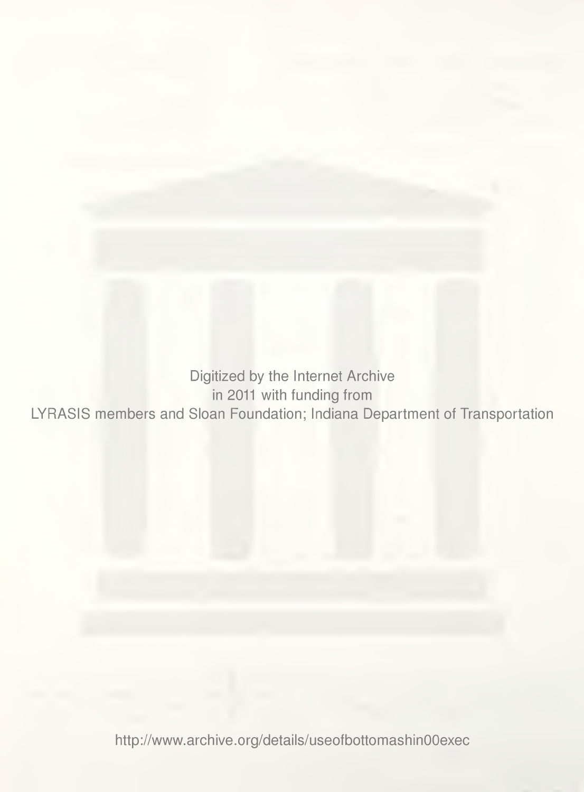Digitized by the Internet Archive in 2011 with funding from LYRASIS members and Sloan Foundation; Indiana Department of Transportation

http://www.archive.org/details/useofbottomashinOOexec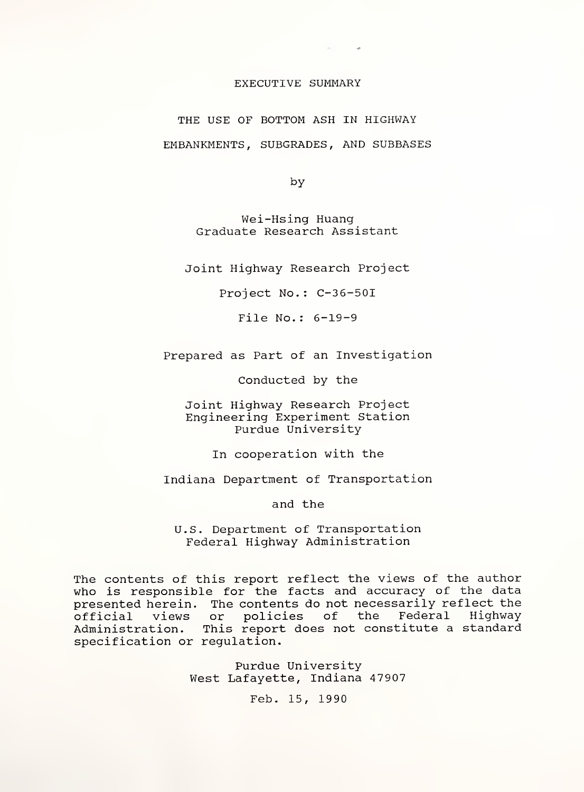## EXECUTIVE SUMMARY

THE USE OF BOTTOM ASH IN HIGHWAY EMBANKMENTS, SUBGRADES , AND SUBBASES

by

Wei-Hsing Huang Graduate Research Assistant

Joint Highway Research Project

Project No.: C-36-50I

File No.: 6-19-9

Prepared as Part of an Investigation

Conducted by the

Joint Highway Research Project Engineering Experiment Station Purdue University

In cooperation with the

Indiana Department of Transportation

and the

U.S. Department of Transportation Federal Highway Administration

The contents of this report reflect the views of the author who is responsible for the facts and accuracy of the data presented herein. The contents do not necessarily reflect the official views or policies of the Federal Highway Administration. This report does not constitute a standard specification or regulation.

> Purdue University West Lafayette, Indiana 47907

> > Feb. 15, 1990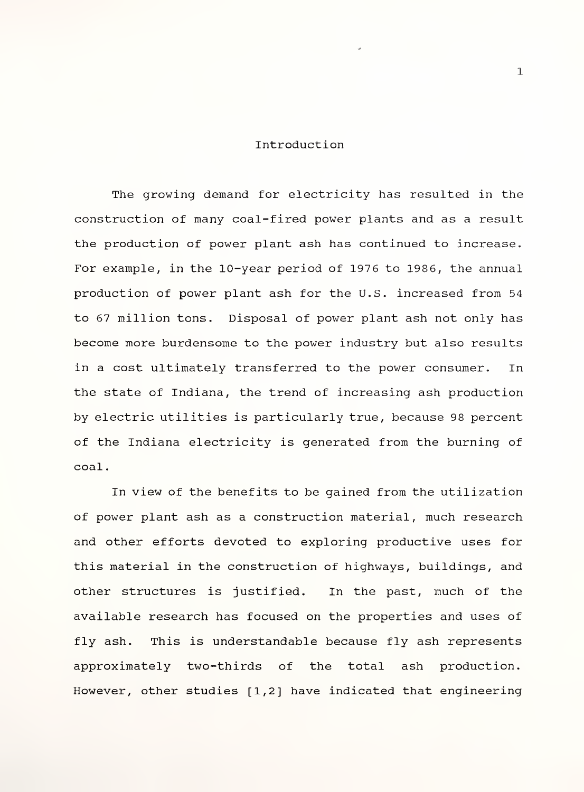#### Introduction

The growing demand for electricity has resulted in the construction of many coal-fired power plants and as a result the production of power plant ash has continued to increase. For example, in the 10-year period of 1976 to 1986, the annual production of power plant ash for the U.S. increased from 54 to 67 million tons. Disposal of power plant ash not only has become more burdensome to the power industry but also results in a cost ultimately transferred to the power consumer. In the state of Indiana, the trend of increasing ash production by electric utilities is particularly true, because 98 percent of the Indiana electricity is generated from the burning of coal

In view of the benefits to be gained from the utilization of power plant ash as a construction material, much research and other efforts devoted to exploring productive uses for this material in the construction of highways, buildings, and other structures is justified. In the past, much of the available research has focused on the properties and uses of fly ash. This is understandable because fly ash represents approximately two-thirds of the total ash production. However, other studies [1,2] have indicated that engineering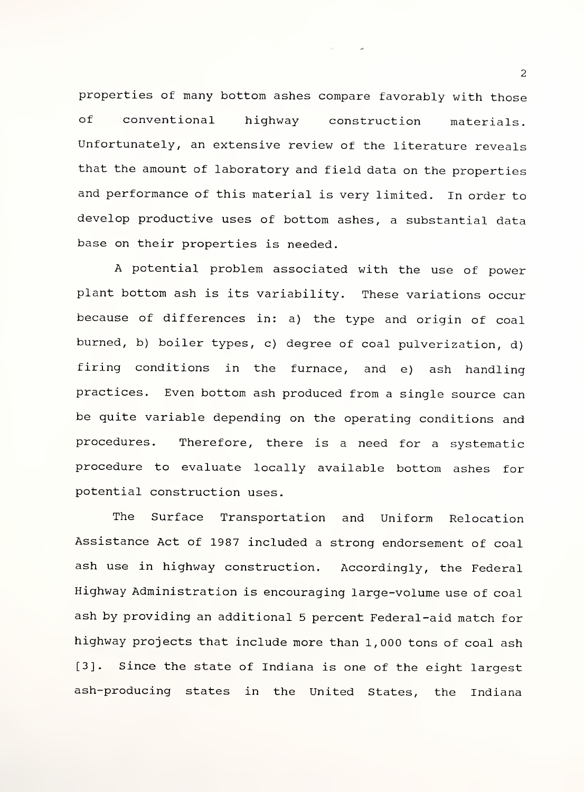properties of many bottom ashes compare favorably with those of conventional highway construction materials. Unfortunately, an extensive review of the literature reveals that the amount of laboratory and field data on the properties and performance of this material is very limited. In order to develop productive uses of bottom ashes, <sup>a</sup> substantial data base on their properties is needed.

A potential problem associated with the use of power plant bottom ash is its variability. These variations occur because of differences in: a) the type and origin of coal burned, b) boiler types, c) degree of coal pulverization, d) firing conditions in the furnace, and e) ash handling practices. Even bottom ash produced from <sup>a</sup> single source can be quite variable depending on the operating conditions and procedures. Therefore, there is <sup>a</sup> need for <sup>a</sup> systematic procedure to evaluate locally available bottom ashes for potential construction uses.

The Surface Transportation and Uniform Relocation Assistance Act of 1987 included <sup>a</sup> strong endorsement of coal ash use in highway construction. Accordingly, the Federal Highway Administration is encouraging large-volume use of coal ash by providing an additional <sup>5</sup> percent Federal-aid match for highway projects that include more than 1,000 tons of coal ash [3]. Since the state of Indiana is one of the eight largest ash-producing states in the United States, the Indiana

 $\mathfrak{p}$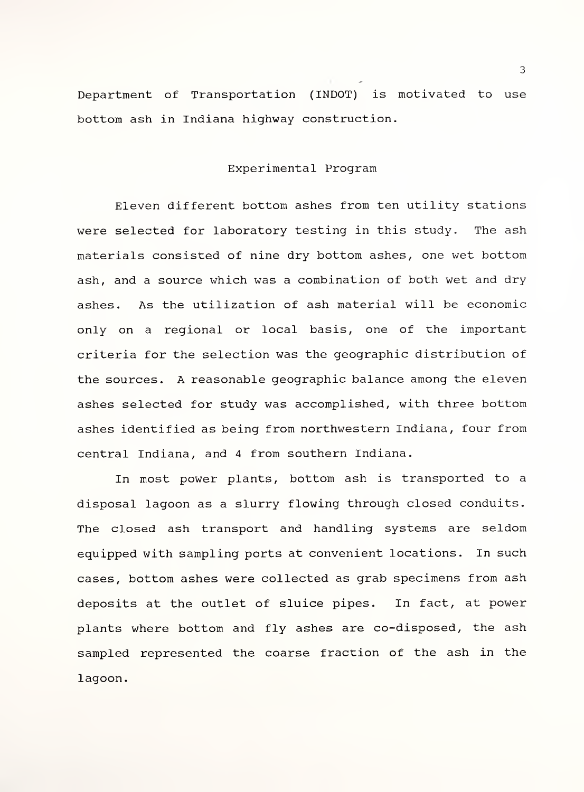Department of Transportation (INDOT) is motivated to use bottom ash in Indiana highway construction.

## Experimental Program

Eleven different bottom ashes from ten utility stations were selected for laboratory testing in this study. The ash materials consisted of nine dry bottom ashes, one wet bottom ash, and a source which was a combination of both wet and dry ashes. As the utilization of ash material will be economic only on a regional or local basis, one of the important criteria for the selection was the geographic distribution of the sources. A reasonable geographic balance among the eleven ashes selected for study was accomplished, with three bottom ashes identified as being from northwestern Indiana, four from central Indiana, and <sup>4</sup> from southern Indiana.

In most power plants, bottom ash is transported to a disposal lagoon as a slurry flowing through closed conduits. The closed ash transport and handling systems are seldom equipped with sampling ports at convenient locations. In such cases, bottom ashes were collected as grab specimens from ash deposits at the outlet of sluice pipes. In fact, at power plants where bottom and fly ashes are co-disposed, the ash sampled represented the coarse fraction of the ash in the lagoon.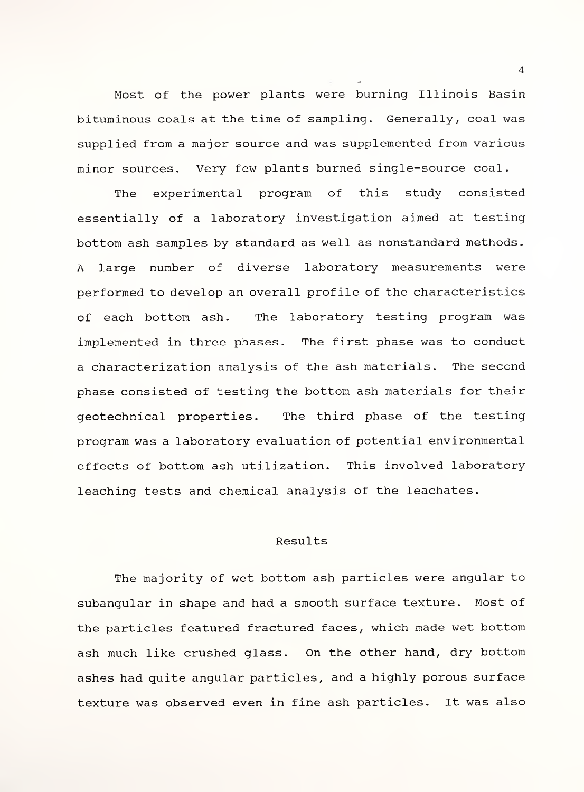Most of the power plants were burning Illinois Basin bituminous coals at the time of sampling. Generally, coal was supplied from a major source and was supplemented from various minor sources. Very few plants burned single-source coal.

The experimental program of this study consisted essentially of a laboratory investigation aimed at testing bottom ash samples by standard as well as nonstandard methods. A large number of diverse laboratory measurements were performed to develop an overall profile of the characteristics of each bottom ash. The laboratory testing program was implemented in three phases. The first phase was to conduct a characterization analysis of the ash materials. The second phase consisted of testing the bottom ash materials for their geotechnical properties. The third phase of the testing program was a laboratory evaluation of potential environmental effects of bottom ash utilization. This involved laboratory leaching tests and chemical analysis of the leachates.

# Results

The majority of wet bottom ash particles were angular to subangular in shape and had a smooth surface texture. Most of the particles featured fractured faces, which made wet bottom ash much like crushed glass. On the other hand, dry bottom ashes had quite angular particles, and a highly porous surface texture was observed even in fine ash particles. It was also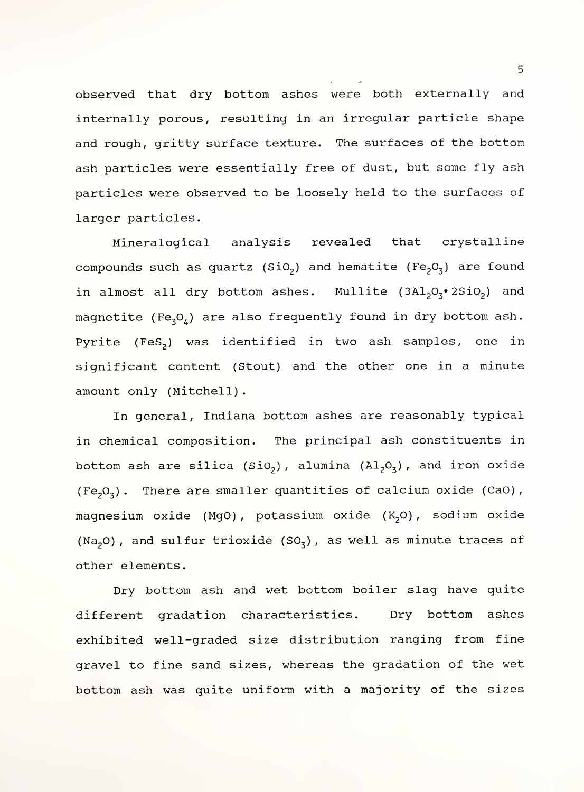observed that dry bottom ashes were both externally and internally porous, resulting in an irregular particle shape and rough, gritty surface texture. The surfaces of the bottom ash particles were essentially free of dust, but some fly ash particles were observed to be loosely held to the surfaces of larger particles.

Mineralogical analysis revealed that crystalline compounds such as quartz (S $\rm iO_2)$  and hematite (Fe $\rm_2O_3$ ) are found in almost all dry bottom ashes. Mullite (3Al<sub>2</sub>O<sub>3</sub>•2SiO<sub>2</sub>) and magnetite (Fe<sub>3</sub>O<sub>4</sub>) are also frequently found in dry bottom ash. Pyrite (FeS<sub>2</sub>) was identified in two ash samples, one in significant content (Stout) and the other one in a minute amount only (Mitchell).

In general, Indiana bottom ashes are reasonably typical in chemical composition. The principal ash constituents in bottom ash are silica (SiO<sub>2</sub>), alumina (Al<sub>2</sub>O<sub>3</sub>), and iron oxide (Fe<sub>2</sub>O<sub>3</sub>). There are smaller quantities of calcium oxide (CaO), magnesium oxide (MgO), potassium oxide  $(K, 0)$ , sodium oxide (Na<sub>2</sub>O), and sulfur trioxide (SO<sub>3</sub>), as well as minute traces of other elements.

Dry bottom ash and wet bottom boiler slag have quite different gradation characteristics. Dry bottom ashes exhibited well-graded size distribution ranging from fine gravel to fine sand sizes, whereas the gradation of the wet bottom ash was quite uniform with a majority of the sizes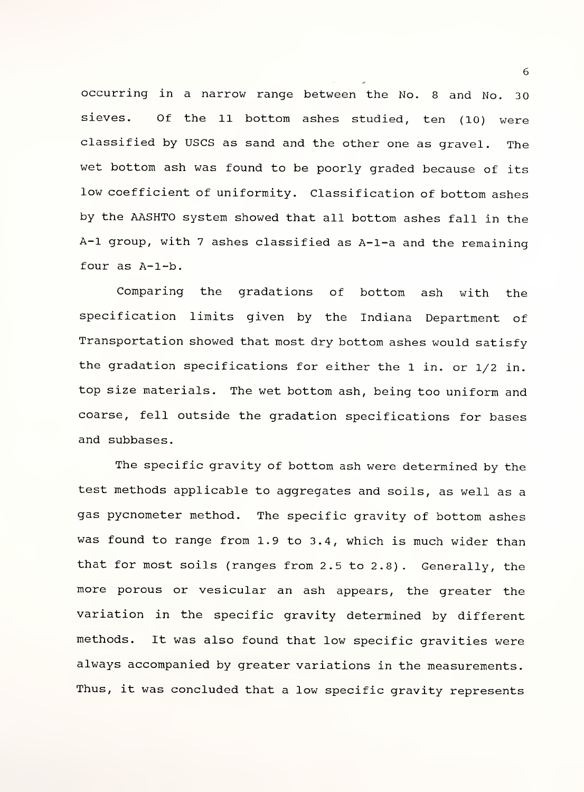occurring in <sup>a</sup> narrow range between the No. <sup>8</sup> and No. <sup>3</sup> sieves. Of the 11 bottom ashes studied, ten (10) were classified by USCS as sand and the other one as gravel. The wet bottom ash was found to be poorly graded because of its low coefficient of uniformity. Classification of bottom ashes by the AASHTO system showed that all bottom ashes fall in the A-l group, with <sup>7</sup> ashes classified as A-l-a and the remaining four as A-l-b.

Comparing the gradations of bottom ash with the specification limits given by the Indiana Department of Transportation showed that most dry bottom ashes would satisfy the gradation specifications for either the <sup>1</sup> in. or 1/2 in. top size materials. The wet bottom ash, being too uniform and coarse, fell outside the gradation specifications for bases and subbases.

The specific gravity of bottom ash were determined by the test methods applicable to aggregates and soils, as well as <sup>a</sup> gas pycnometer method. The specific gravity of bottom ashes was found to range from 1.9 to 3.4, which is much wider than that for most soils (ranges from 2.5 to 2.8). Generally, the more porous or vesicular an ash appears, the greater the variation in the specific gravity determined by different methods. It was also found that low specific gravities were always accompanied by greater variations in the measurements. Thus, it was concluded that a low specific gravity represents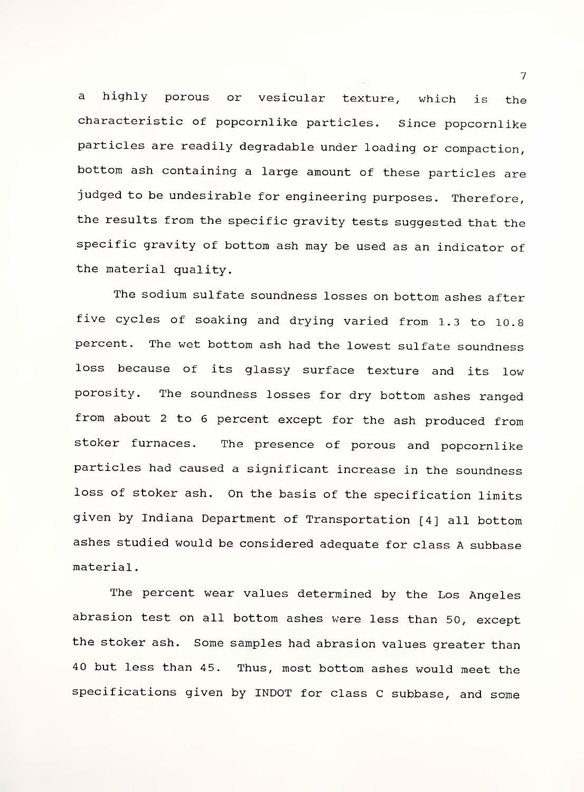<sup>a</sup> highly porous or vesicular texture, which is the characteristic of popcornlike particles. Since popcornlike particles are readily degradable under loading or compaction, bottom ash containing <sup>a</sup> large amount of these particles are judged to be undesirable for engineering purposes. Therefore, the results from the specific gravity tests suggested that the specific gravity of bottom ash may be used as an indicator of the material quality.

The sodium sulfate soundness losses on bottom ashes after five cycles of soaking and drying varied from 1.3 to 10.8 percent. The wet bottom ash had the lowest sulfate soundness loss because of its glassy surface texture and its low porosity. The soundness losses for dry bottom ashes ranged from about <sup>2</sup> to <sup>6</sup> percent except for the ash produced from stoker furnaces. The presence of porous and popcornlike particles had caused <sup>a</sup> significant increase in the soundness loss of stoker ash. On the basis of the specification limits given by Indiana Department of Transportation [4] all bottom ashes studied would be considered adequate for class A subbase material.

The percent wear values determined by the Los Angeles abrasion test on all bottom ashes were less than 50, except the stoker ash. Some samples had abrasion values greater than 40 but less than 45. Thus, most bottom ashes would meet the specifications given by INDOT for class <sup>C</sup> subbase, and some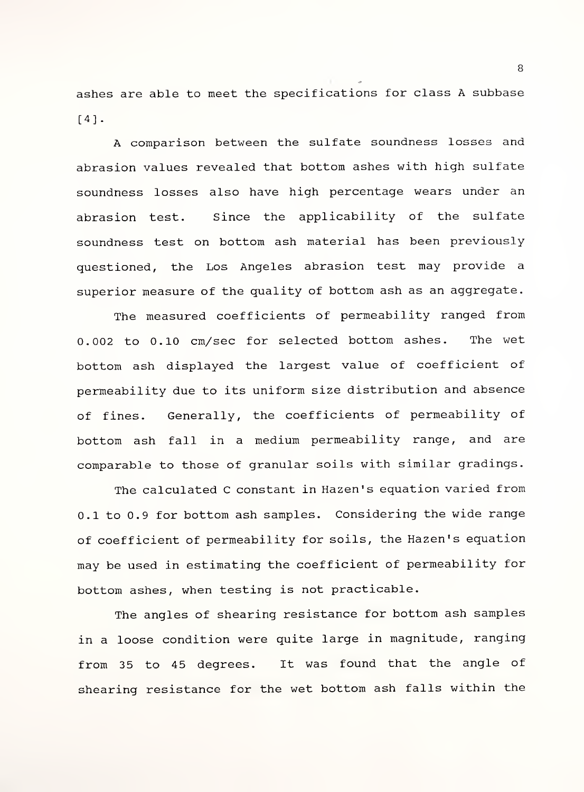ashes are able to meet the specifications for class A subbase [4].

A comparison between the sulfate soundness losses and abrasion values revealed that bottom ashes with high sulfate soundness losses also have high percentage wears under an abrasion test. Since the applicability of the sulfate soundness test on bottom ash material has been previously questioned, the Los Angeles abrasion test may provide <sup>a</sup> superior measure of the quality of bottom ash as an aggregate.

The measured coefficients of permeability ranged from 0.002 to 0.10 cm/sec for selected bottom ashes. The wet bottom ash displayed the largest value of coefficient of permeability due to its uniform size distribution and absence of fines. Generally, the coefficients of permeability of bottom ash fall in a medium permeability range, and are comparable to those of granular soils with similar gradings.

The calculated C constant in Hazen's equation varied from 0.1 to 0.9 for bottom ash samples. Considering the wide range of coefficient of permeability for soils, the Hazen's equation may be used in estimating the coefficient of permeability for bottom ashes, when testing is not practicable.

The angles of shearing resistance for bottom ash samples in a loose condition were quite large in magnitude, ranging from 35 to 45 degrees. It was found that the angle of shearing resistance for the wet bottom ash falls within the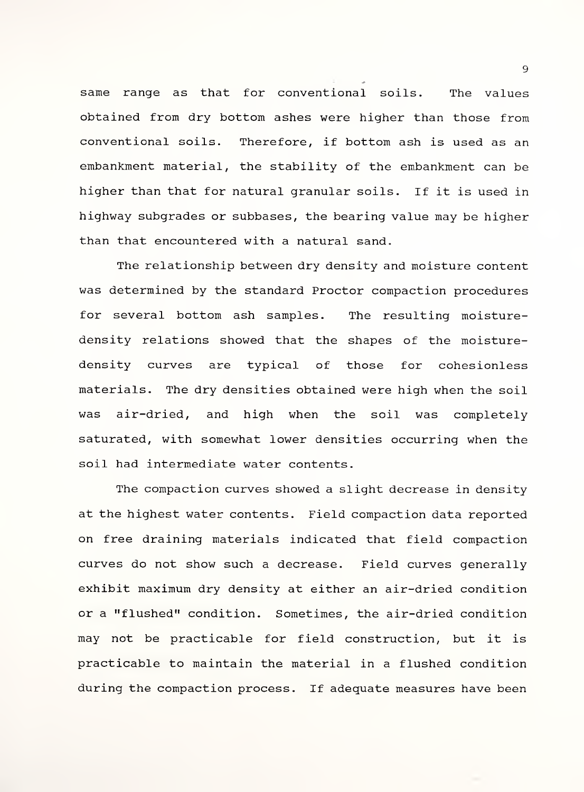same range as that for conventional soils. The values obtained from dry bottom ashes were higher than those from conventional soils. Therefore, if bottom ash is used as an embankment material, the stability of the embankment can be higher than that for natural granular soils. If it is used in highway subgrades or subbases, the bearing value may be higher than that encountered with a natural sand.

The relationship between dry density and moisture content was determined by the standard Proctor compaction procedures for several bottom ash samples. The resulting moisturedensity relations showed that the shapes of the moisturedensity curves are typical of those for cohesionless materials. The dry densities obtained were high when the soil was air-dried, and high when the soil was completely saturated, with somewhat lower densities occurring when the soil had intermediate water contents.

The compaction curves showed a slight decrease in density at the highest water contents. Field compaction data reported on free draining materials indicated that field compaction curves do not show such a decrease. Field curves generally exhibit maximum dry density at either an air-dried condition or a "flushed" condition. Sometimes, the air-dried condition may not be practicable for field construction, but it is practicable to maintain the material in a flushed condition during the compaction process. If adequate measures have been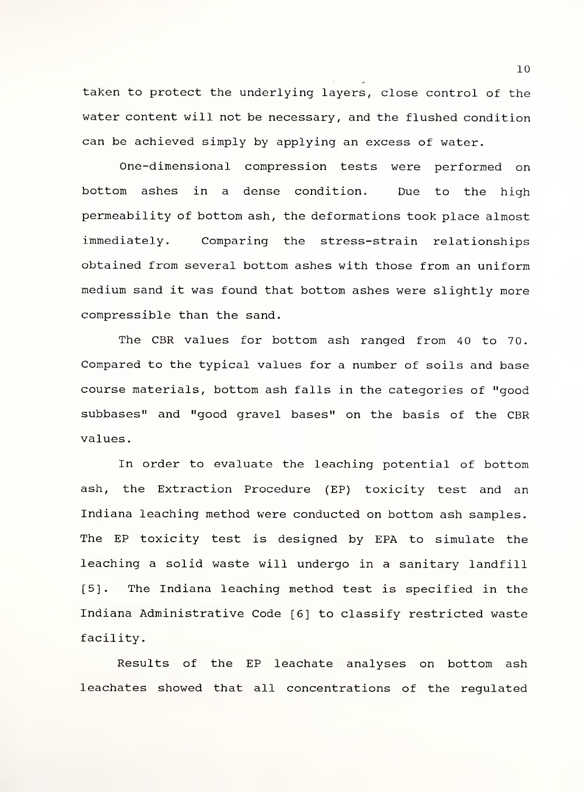taken to protect the underlying layers, close control of the water content will not be necessary, and the flushed condition can be achieved simply by applying an excess of water.

One-dimensional compression tests were performed on bottom ashes in a dense condition. Due to the high permeability of bottom ash, the deformations took place almost immediately. Comparing the stress-strain relationships obtained from several bottom ashes with those from an uniform medium sand it was found that bottom ashes were slightly more compressible than the sand.

The CBR values for bottom ash ranged from 40 to 70. Compared to the typical values for a number of soils and base course materials, bottom ash falls in the categories of "good subbases" and "good gravel bases" on the basis of the CBR values

In order to evaluate the leaching potential of bottom ash, the Extraction Procedure (EP) toxicity test and an Indiana leaching method were conducted on bottom ash samples. The EP toxicity test is designed by EPA to simulate the leaching a solid waste will undergo in a sanitary landfill [5]. The Indiana leaching method test is specified in the Indiana Administrative Code [6] to classify restricted waste facility.

Results of the EP leachate analyses on bottom ash leachates showed that all concentrations of the regulated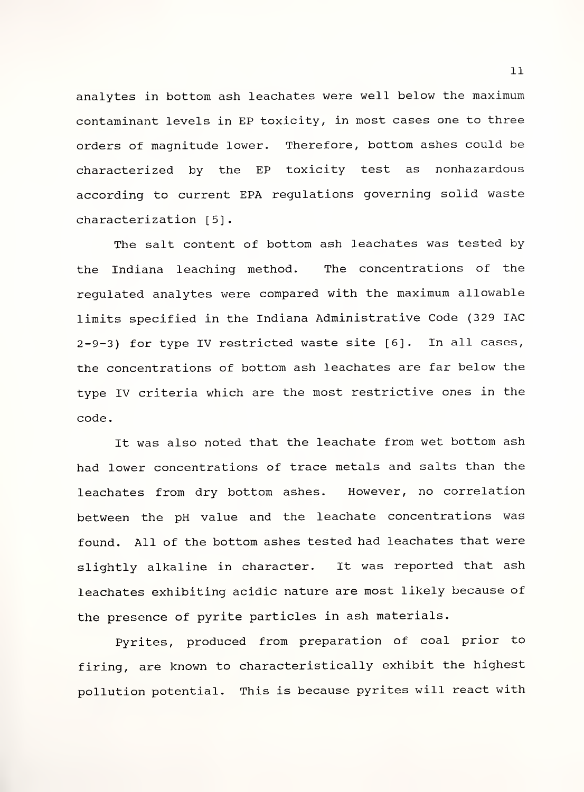analytes in bottom ash leachates were well below the maximum contaminant levels in EP toxicity, in most cases one to three orders of magnitude lower. Therefore, bottom ashes could be characterized by the EP toxicity test as nonhazardous according to current EPA regulations governing solid waste characterization [5].

The salt content of bottom ash leachates was tested by the Indiana leaching method. The concentrations of the regulated analytes were compared with the maximum allowable limits specified in the Indiana Administrative Code (329 IAC 2-9-3) for type IV restricted waste site [6]. In all cases, the concentrations of bottom ash leachates are far below the type IV criteria which are the most restrictive ones in the code.

It was also noted that the leachate from wet bottom ash had lower concentrations of trace metals and salts than the leachates from dry bottom ashes. However, no correlation between the pH value and the leachate concentrations was found. All of the bottom ashes tested had leachates that were slightly alkaline in character. It was reported that ash leachates exhibiting acidic nature are most likely because of the presence of pyrite particles in ash materials.

Pyrites, produced from preparation of coal prior to firing, are known to characteristically exhibit the highest pollution potential. This is because pyrites will react with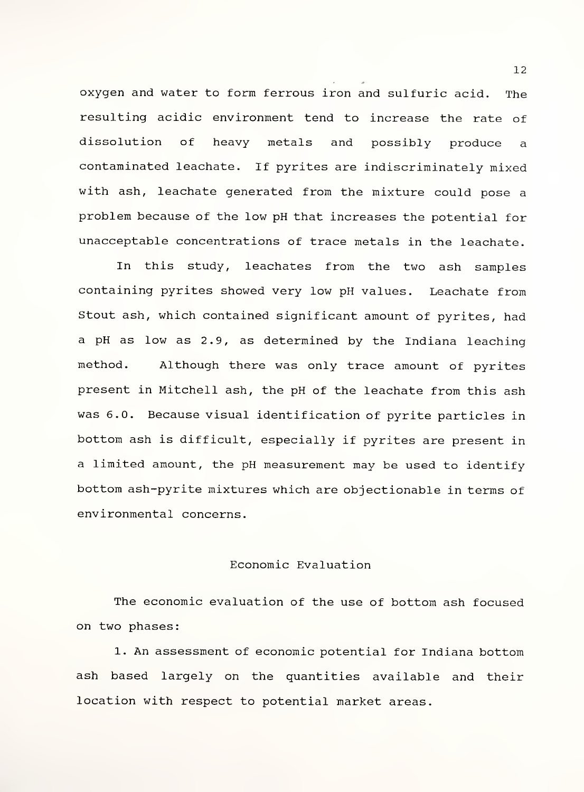oxygen and water to form ferrous iron and sulfuric acid. The resulting acidic environment tend to increase the rate of dissolution of heavy metals and possibly produce a contaminated leachate. If pyrites are indiscriminately mixed with ash, leachate generated from the mixture could pose <sup>a</sup> problem because of the low pH that increases the potential for unacceptable concentrations of trace metals in the leachate.

In this study, leachates from the two ash samples containing pyrites showed very low pH values. Leachate from Stout ash, which contained significant amount of pyrites, had a pH as low as 2.9, as determined by the Indiana leaching method. Although there was only trace amount of pyrites present in Mitchell ash, the pH of the leachate from this ash was 6.0. Because visual identification of pyrite particles in bottom ash is difficult, especially if pyrites are present in a limited amount, the pH measurement may be used to identify bottom ash-pyrite mixtures which are objectionable in terms of environmental concerns.

# Economic Evaluation

The economic evaluation of the use of bottom ash focused on two phases:

1. An assessment of economic potential for Indiana bottom ash based largely on the guantities available and their location with respect to potential market areas.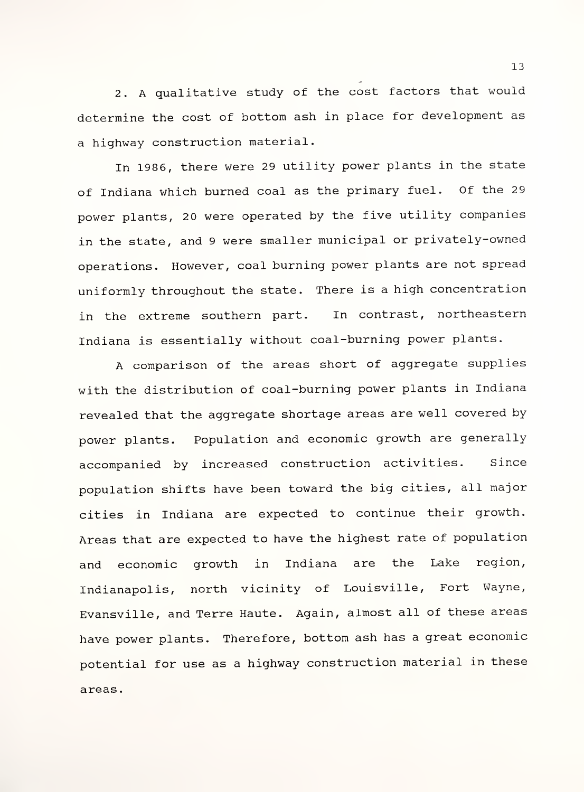2. A qualitative study of the cost factors that would determine the cost of bottom ash in place for development as a highway construction material.

In 1986, there were 29 utility power plants in the state of Indiana which burned coal as the primary fuel. Of the 29 power plants, 20 were operated by the five utility companies in the state, and <sup>9</sup> were smaller municipal or privately-owned operations. However, coal burning power plants are not spread uniformly throughout the state. There is <sup>a</sup> high concentration in the extreme southern part. In contrast, northeastern Indiana is essentially without coal-burning power plants.

A comparison of the areas short of aggregate supplies with the distribution of coal-burning power plants in Indiana revealed that the aggregate shortage areas are well covered by power plants. Population and economic growth are generally accompanied by increased construction activities. Since population shifts have been toward the big cities, all major cities in Indiana are expected to continue their growth. Areas that are expected to have the highest rate of population and economic growth in Indiana are the Lake region, Indianapolis, north vicinity of Louisville, Fort Wayne, Evansville, and Terre Haute. Again, almost all of these areas have power plants. Therefore, bottom ash has <sup>a</sup> great economic potential for use as <sup>a</sup> highway construction material in theseareas.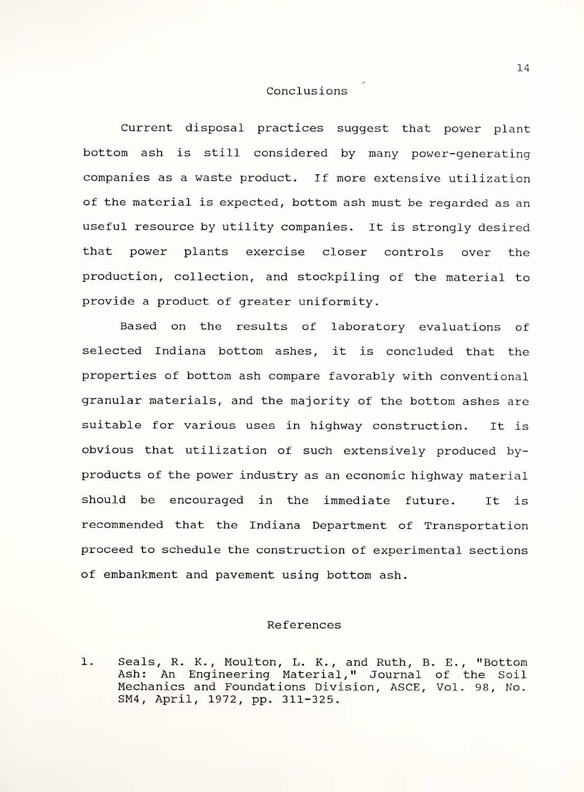### Conclusions

Current disposal practices suggest that power plant bottom ash is still considered by many power-generating companies as a waste product. If more extensive utilization of the material is expected, bottom ash must be regarded as an useful resource by utility companies. It is strongly desired that power plants exercise closer controls over the production, collection, and stockpiling of the material to provide a product of greater uniformity.

Based on the results of laboratory evaluations of selected Indiana bottom ashes, it is concluded that the properties of bottom ash compare favorably with conventional granular materials, and the majority of the bottom ashes are suitable for various uses in highway construction. It is obvious that utilization of such extensively produced byproducts of the power industry as an economic highway material should be encouraged in the immediate future. It is recommended that the Indiana Department of Transportation proceed to schedule the construction of experimental sections of embankment and pavement using bottom ash.

#### References

1. Seals, R. K., Moulton, L. K., and Ruth, B. E., "Bottom Ash: An Engineering Material," Journal of the Soil Mechanics and Foundations Division, ASCE, Vol. 98, No. SM4, April, 1972, pp. 311-325.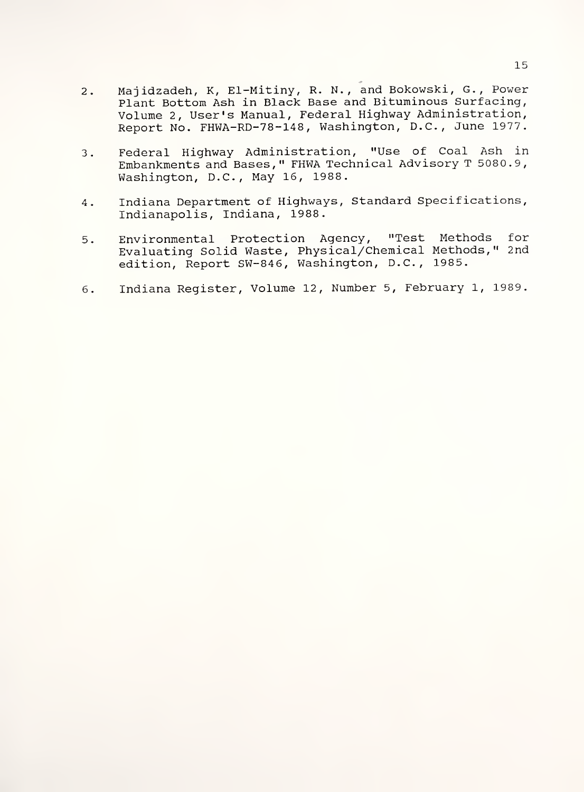- Majidzadeh, K, El-Mitiny, R. N. , and Bokowski, G. , Power  $2.$ Plant Bottom Ash in Black Base and Bituminous Surfacing, Volume 2, User's Manual, Federal Highway Administration, Report No. FHWA-RD-78-148 , Washington, D.C., June 1977.
- Federal Highway Administration, "Use of Coal Ash in  $3.$ Embankments and Bases," FHWA Technical Advisory T 5080.9, Washington, D.C., May 16, 1988.
- Indiana Department of Highways, Standard Specifications,  $4.$ Indianapolis, Indiana, 1988.
- $5.$ Environmental Protection Agency, "Test Methods for Evaluating Solid Waste, Physical/Chemical Methods," 2nd edition, Report SW-846, Washington, D.C., 1985.
- Indiana Register, Volume 12, Number 5, February 1, 1989. $6.$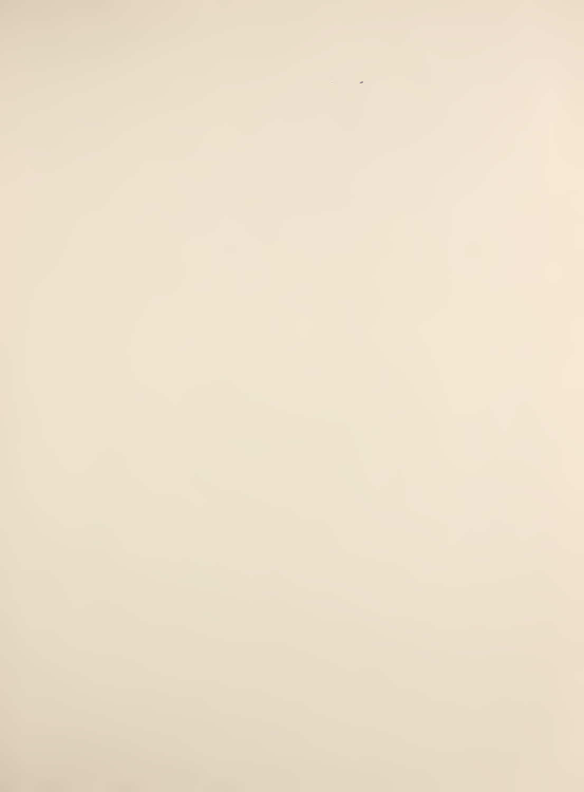$\bar{\phantom{a}}$